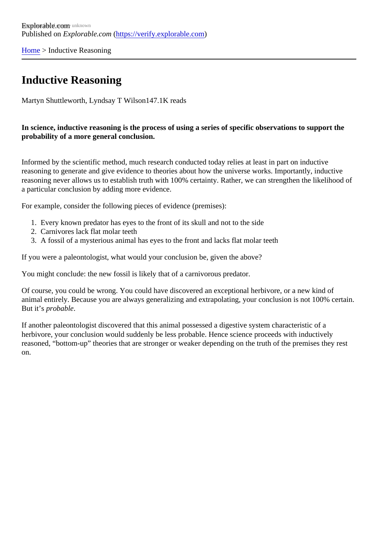[Home](https://verify.explorable.com/) > Inductive Reasoning

## Inductive Reasoning

Martyn Shuttleworth, Lyndsay T Wilsdr47.1K reads

In science, inductive reasoning is the process of using a series of specific observations to support the probability of a more general conclusion.

Informed by the scientific method, much research conducted today relies at least in part on inductive reasoning to generate and give evidence to theories about how the universe works. Importantly, inductive reasoning never allows us to establish truth with 100% certainty. Rather, we can strengthen the likelihood a particular conclusion by adding more evidence.

For example, consider the following pieces of evidence (premises):

- 1. Every known predator has eyes to the front of its skull and not to the side
- 2. Carnivores lack flat molar teeth
- 3. A fossil of a mysterious animal has eyes to the front and lacks flat molar teeth

If you were a paleontologist, what would your conclusion be, given the above?

You might conclude: the new fossil is likely that of a carnivorous predator.

Of course, you could be wrong. You could have discovered an exceptional herbivore, or a new kind of animal entirely. Because you are always generalizing and extrapolating, your conclusion is not 100% certain. But it's probable.

If another paleontologist discovered that this animal possessed a digestive system characteristic of a herbivore, your conclusion would suddenly be less probable. Hence science proceeds with inductively reasoned, "bottom-up" theories that are stronger or weaker depending on the truth of the premises they re on.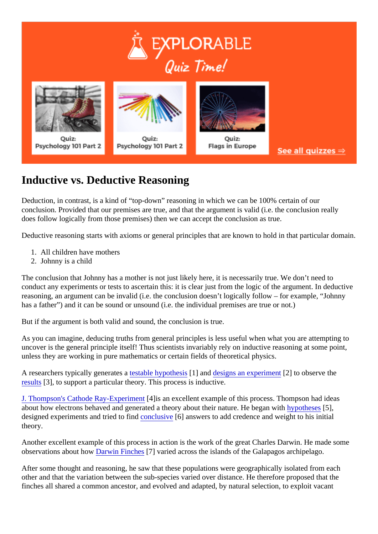## Inductive vs. Deductive Reasoning

Deduction, in contrast, is a kind of "top-down" reasoning in which we can be 100% certain of our conclusion. Provided that our premises are true, and that the argument is valid (i.e. the conclusion really does follow logically from those premises) then we can accept the conclusion as true.

Deductive reasoning starts with axioms or general principles that are known to hold in that particular domain.

- 1. All children have mothers
- 2. Johnny is a child

The conclusion that Johnny has a mother is not just likely here, it is necessarily true. We don't need to conduct any experiments or tests to ascertain this: it is clear just from the logic of the argument. In deducti reasoning, an argument can be invalid (i.e. the conclusion doesn't logically follow – for example, "Johnny has a father") and it can be sound or unsound (i.e. the individual premises are true or not.)

But if the argument is both valid and sound, the conclusion is true.

As you can imagine, deducing truths from general principles is less useful when what you are attempting t uncover is the general principle itself! Thus scientists invariably rely on inductive reasoning at some point, unless they are working in pure mathematics or certain fields of theoretical physics.

A researchers typically generate satable hypothes<sup>[4]</sup> and [designs an experime](https://explorable.com/design-of-experiment)<sup>[2]</sup> to observe the [results](https://explorable.com/statistically-significant-results)[3], to support a particular theory. This process is inductive.

[J. Thompson's Cathode Ray-Experim](https://explorable.com/cathode-ray-experiment)ent an excellent example of this process. Thompson had ideas about how electrons behaved and generated a theory about their nature. He began with the sets], designed experiments and tried to find clusive 6] answers to add credence and weight to his initial theory.

Another excellent example of this process in action is the work of the great Charles Darwin. He made some observations about howarwin Finches<sup>[7]</sup> varied across the islands of the Galapagos archipelago.

After some thought and reasoning, he saw that these populations were geographically isolated from each other and that the variation between the sub-species varied over distance. He therefore proposed that the finches all shared a common ancestor, and evolved and adapted, by natural selection, to exploit vacant